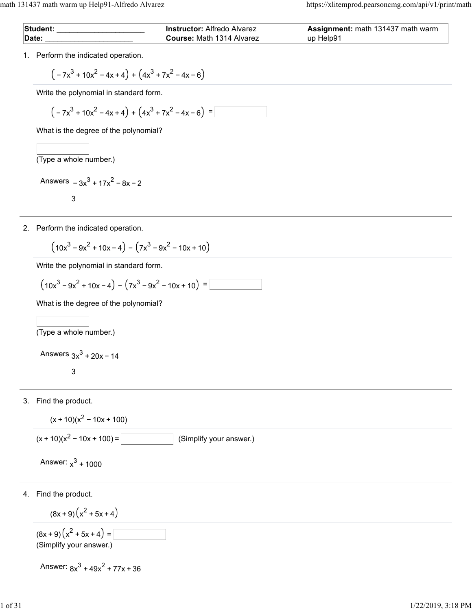| Student: | <b>Instructor:</b> Alfredo Alvarez | <b>Assignment:</b> math 131437 math warm |
|----------|------------------------------------|------------------------------------------|
| Date:    | <b>Course:</b> Math 1314 Alvarez   | up Help91                                |

1. Perform the indicated operation.

$$
\left(-7x^3+10x^2-4x+4\right)+\left(4x^3+7x^2-4x-6\right)
$$

Write the polynomial in standard form.

$$
\left(-7x^3+10x^2-4x+4\right)+\left(4x^3+7x^2-4x-6\right)=\boxed{\phantom{\bigg|}}
$$

What is the degree of the polynomial?

(Type a whole number.)

Answers 
$$
-3x^3 + 17x^2 - 8x - 2
$$
  
3

2. Perform the indicated operation.

$$
(10x^3 - 9x^2 + 10x - 4) - (7x^3 - 9x^2 - 10x + 10)
$$

Write the polynomial in standard form.

$$
(10x3 - 9x2 + 10x - 4) - (7x3 - 9x2 - 10x + 10) =
$$

What is the degree of the polynomial?

 $\overline{$ (Type a whole number.)

Answers  $3x^3 + 20x - 14$ 

3

3. Find the product.

$$
(x+10)(x^2-10x+100)
$$

 $(x + 10)(x<sup>2</sup> - 10x + 100) =$  (Simplify your answer.)

Answer:  $x^3 + 1000$ 

4. Find the product.

$$
(8x + 9)(x2 + 5x + 4)
$$
  
(8x + 9)(x<sup>2</sup> + 5x + 4) =

(Simplify your answer.)

Answer:  $8x^3 + 49x^2 + 77x + 36$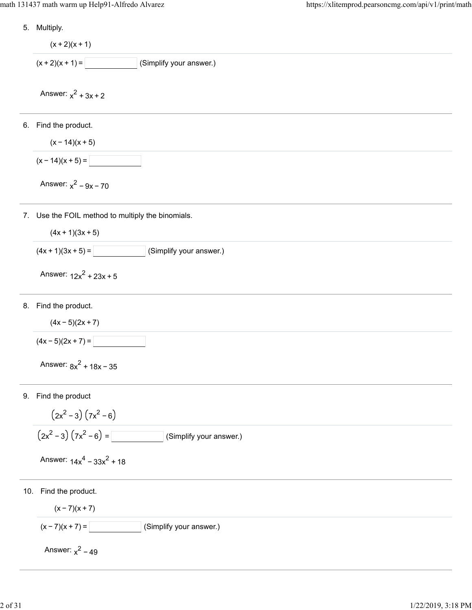5. Multiply.

```
6.
Find the product.
7.
Use the FOIL method to multiply the binomials.
8.
Find the product.
9.
Find the product
10.
Find the product.
      (x + 2)(x + 1)(x + 2)(x + 1) = (Simplify your answer.)
    Answer: x^2 + 3x + 2(x - 14)(x + 5)(x - 14)(x + 5) =Answer: x^2 - 9x - 70(4x + 1)(3x + 5)(4x + 1)(3x + 5) = (Simplify your answer.)
    Answer: 12x^2 + 23x + 5(4x - 5)(2x + 7)(4x - 5)(2x + 7) =Answer: 8x^2 + 18x - 35(2x^2 - 3)(7x^2 - 6)(2x<sup>2</sup> - 3) (7x<sup>2</sup> - 6) = (Simplify your answer.)
    Answer: 14x^4 - 33x^2 + 18(x - 7)(x + 7)(x - 7)(x + 7) = (Simplify your answer.)
     Answer: x^2 - 49
```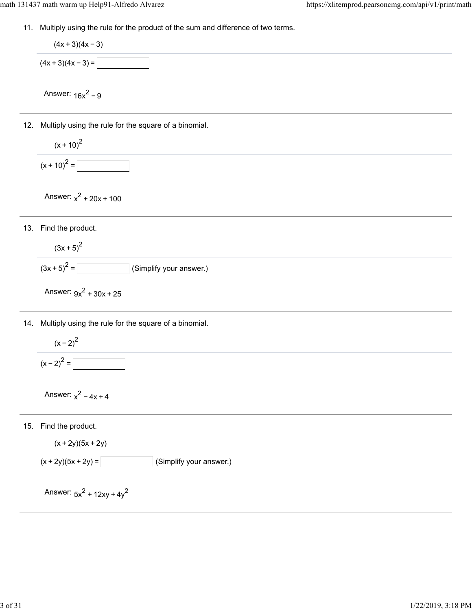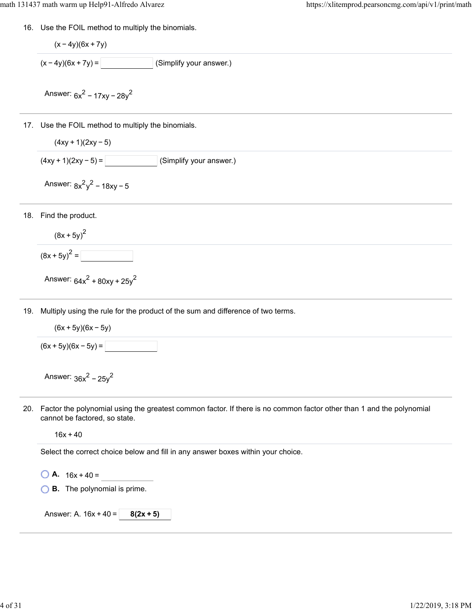16. Use the FOIL method to multiply the binomials.

$$
(x-4y)(6x+7y)
$$
  
(x-4y)(6x+7y) = (Simplify your answer.)  
Answer:  $6x^2 - 17xy - 28y^2$ 

- 17. Use the FOIL method to multiply the binomials.
	- $(4xy + 1)(2xy 5)$
	- $(4xy + 1)(2xy 5) =$  (Simplify your answer.)
	- Answer:  $8x^2y^2 18xy 5$
- 18. Find the product.

$$
(8x + 5y)^2
$$

$$
(8x+5y)^2 =
$$

Answer:  $64x^2 + 80xy + 25y^2$ 

- 19. Multiply using the rule for the product of the sum and difference of two terms.
	- $(6x + 5y)(6x 5y)$

 $(6x + 5y)(6x - 5y) =$ 

Answer:  $36x^2 - 25y^2$ 

20. Factor the polynomial using the greatest common factor. If there is no common factor other than 1 and the polynomial cannot be factored, so state.

 $16x + 40$ 

Select the correct choice below and fill in any answer boxes within your choice.

- $\bigcirc$  **A.** 16x + 40 =
- **B.** The polynomial is prime.

Answer: A. 16x + 40 = **8(2x + 5)**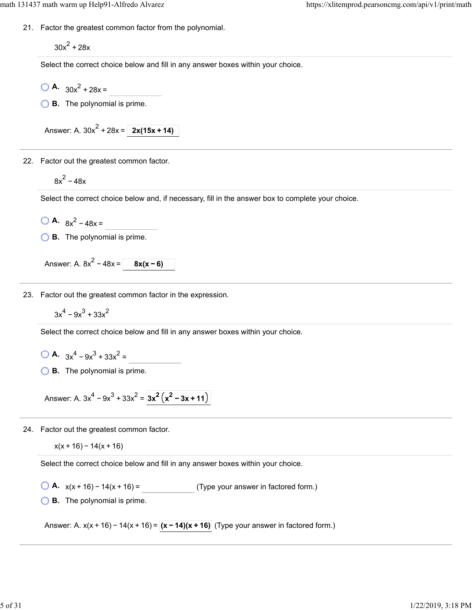21. Factor the greatest common factor from the polynomial.

 $30x^2 + 28x$ 

Select the correct choice below and fill in any answer boxes within your choice.

- $\bigcirc$  **A.**  $30x^2 + 28x =$
- **B.** The polynomial is prime.

Answer: A.  $30x^2 + 28x = 2x(15x + 14)$ 

22. Factor out the greatest common factor.

$$
8x^2-48x
$$

Select the correct choice below and, if necessary, fill in the answer box to complete your choice.

```
\bigcirc A. 8x^2 - 48x =
```
**B.** The polynomial is prime.

Answer: A.  $8x^2 - 48x = 8x(x - 6)$ 

23. Factor out the greatest common factor in the expression.

$$
3x^4 - 9x^3 + 33x^2
$$

Select the correct choice below and fill in any answer boxes within your choice.

**A.**  $3x^4 - 9x^3 + 33x^2 =$ 

**B.** The polynomial is prime.

```
Answer: A. 3x^4 - 9x^3 + 33x^2 = 3x^2 (x^2 - 3x + 11)
```
24. Factor out the greatest common factor.

```
x(x + 16) - 14(x + 16)
```
Select the correct choice below and fill in any answer boxes within your choice.

**A.**  $x(x + 16) - 14(x + 16) =$  (Type your answer in factored form.)

**B.** The polynomial is prime.

Answer: A. x(x + 16) − 14(x + 16) =  $(x - 14)(x + 16)$  (Type your answer in factored form.)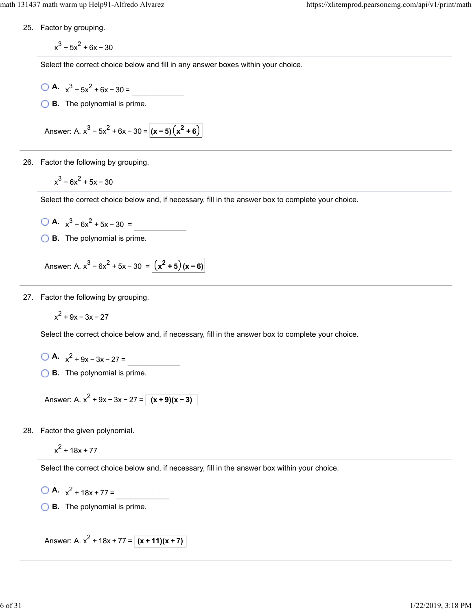25. Factor by grouping.

 $x^3 - 5x^2 + 6x - 30$ 

Select the correct choice below and fill in any answer boxes within your choice.

$$
A. x^3 - 5x^2 + 6x - 30 = 0
$$

**B.** The polynomial is prime.

Answer: A.  $x^3 - 5x^2 + 6x - 30 = (x - 5)(x^2 + 6)$ 

26. Factor the following by grouping.

 $x^3 - 6x^2 + 5x - 30$ 

Select the correct choice below and, if necessary, fill in the answer box to complete your choice.

$$
A. \quad x^3 - 6x^2 + 5x - 30 = 0
$$

**B.** The polynomial is prime.

Answer: A.  $x^3 - 6x^2 + 5x - 30 = (x^2 + 5)(x - 6)$ 

27. Factor the following by grouping.

$$
x^2 + 9x - 3x - 27
$$

Select the correct choice below and, if necessary, fill in the answer box to complete your choice.

**A.**  $x^2 + 9x - 3x - 27 =$ 

**B.** The polynomial is prime.

Answer: A.  $x^2 + 9x - 3x - 27 = (x + 9)(x - 3)$ 

28. Factor the given polynomial.

 $x^2$  + 18x + 77

Select the correct choice below and, if necessary, fill in the answer box within your choice.

$$
A. \t x^2 + 18x + 77 =
$$

**B.** The polynomial is prime.

Answer: A.  $x^2$  + 18x + 77 =  $(x + 11)(x + 7)$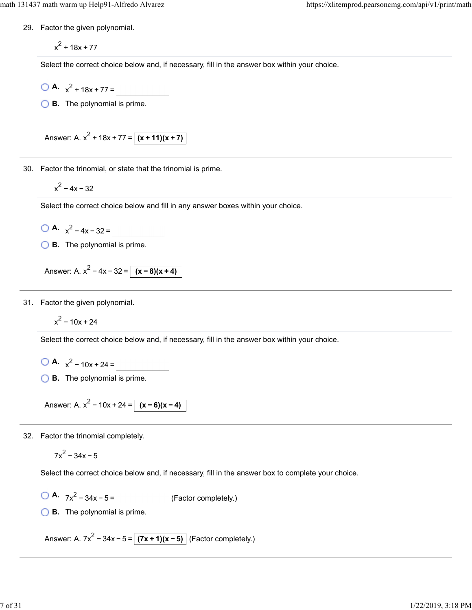29. Factor the given polynomial.

 $x^2$  + 18x + 77

Select the correct choice below and, if necessary, fill in the answer box within your choice.

- $\bigcirc$  **A.**  $x^2 + 18x + 77 =$
- **B.** The polynomial is prime.

Answer: A.  $x^2$  + 18x + 77 =  $(x + 11)(x + 7)$ 

30. Factor the trinomial, or state that the trinomial is prime.

$$
x^2-4x-32
$$

Select the correct choice below and fill in any answer boxes within your choice.

 $\bigcirc$  **A.**  $x^2 - 4x - 32 =$ 

**B.** The polynomial is prime.

Answer: A.  $x^2 - 4x - 32 = (x - 8)(x + 4)$ 

31. Factor the given polynomial.

 $x^2 - 10x + 24$ 

Select the correct choice below and, if necessary, fill in the answer box within your choice.

**A.**  $x^2 - 10x + 24 =$ 

**B.** The polynomial is prime.

Answer: A.  $x^2 - 10x + 24 = \sqrt{(x - 6)(x - 4)}$ 

32. Factor the trinomial completely.

$$
7x^2-34x-5
$$

Select the correct choice below and, if necessary, fill in the answer box to complete your choice.

 $\overline{OA}$ .  $7x^2 - 34x - 5 =$  (Factor completely.)

**B.** The polynomial is prime.

Answer: A.  $7x^2 - 34x - 5 = (7x + 1)(x - 5)$  (Factor completely.)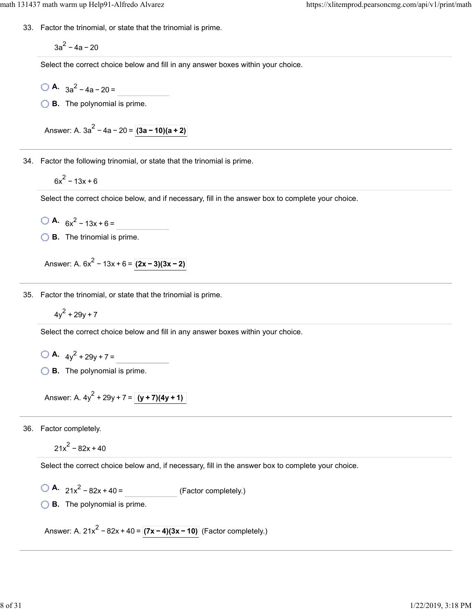33. Factor the trinomial, or state that the trinomial is prime.

 $3a^2 - 4a - 20$ 

Select the correct choice below and fill in any answer boxes within your choice.

- $\bigcirc$  **A.**  $3a^2 4a 20 =$
- **B.** The polynomial is prime.

Answer: A.  $3a^2 - 4a - 20 = (3a - 10)(a + 2)$ 

34. Factor the following trinomial, or state that the trinomial is prime.

 $6x^2 - 13x + 6$ 

Select the correct choice below, and if necessary, fill in the answer box to complete your choice.

$$
A = 6x^2 - 13x + 6 =
$$

**B.** The trinomial is prime.

Answer: A.  $6x^2 - 13x + 6 = (2x - 3)(3x - 2)$ 

35. Factor the trinomial, or state that the trinomial is prime.

$$
4y^2 + 29y + 7
$$

Select the correct choice below and fill in any answer boxes within your choice.

**A.**  $4y^2 + 29y + 7 =$ 

**B.** The polynomial is prime.

Answer: A. 
$$
4y^2 + 29y + 7 = (y + 7)(4y + 1)
$$

36. Factor completely.

 $21x^2 - 82x + 40$ 

Select the correct choice below and, if necessary, fill in the answer box to complete your choice.

$$
\begin{array}{ccc}\n\bullet & 21x^2 - 82x + 40 = \\
\bullet & \text{(Factor completely.)}\n\end{array}
$$

**B.** The polynomial is prime.

Answer: A. 21x<sup>2</sup> − 82x + 40 =  $(7x - 4)(3x - 10)$  (Factor completely.)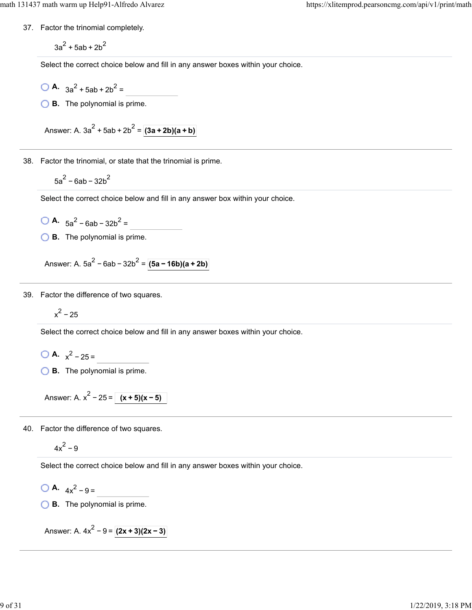37. Factor the trinomial completely.

 $3a^2 + 5ab + 2b^2$ 

Select the correct choice below and fill in any answer boxes within your choice.

- $\bigcirc$  **A.**  $3a^2 + 5ab + 2b^2 =$
- **B.** The polynomial is prime.

Answer: A.  $3a^2 + 5ab + 2b^2 = (3a + 2b)(a + b)$ 

38. Factor the trinomial, or state that the trinomial is prime.

 $5a^2 - 6ab - 32b^2$ 

Select the correct choice below and fill in any answer box within your choice.

- $\bigcirc$  **A.**  $5a^2 6ab 32b^2 =$
- **B.** The polynomial is prime.

Answer: A.  $5a^2 - 6ab - 32b^2 = (5a - 16b)(a + 2b)$ 

39. Factor the difference of two squares.

$$
x^2-25
$$

Select the correct choice below and fill in any answer boxes within your choice.

- **A.**  $x^2 25 =$
- **B.** The polynomial is prime.

Answer: A.  $x^2 - 25 = (x + 5)(x - 5)$ 

40. Factor the difference of two squares.

 $4x^2 - 9$ 

Select the correct choice below and fill in any answer boxes within your choice.

 $\bigcirc$  **A.**  $4x^2 - 9 =$ 

**B.** The polynomial is prime.

Answer: A.  $4x^2 - 9 = (2x + 3)(2x - 3)$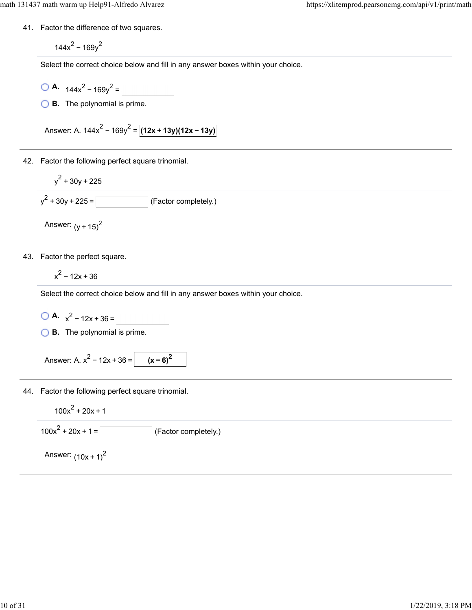41. Factor the difference of two squares.

 $144x^2 - 169y^2$ 

Select the correct choice below and fill in any answer boxes within your choice.

- $\bigcirc$  **A.**  $144x^2 169y^2 =$
- **B.** The polynomial is prime.

Answer: A.  $144x^2 - 169y^2 = (12x + 13y)(12x - 13y)$ 

- 42. Factor the following perfect square trinomial.
	- $y^2 + 30y + 225$  $y^2 + 30y + 225 =$  (Factor completely.)

Answer:  $(y + 15)^2$ 

43. Factor the perfect square.

 $x^2 - 12x + 36$ 

Select the correct choice below and fill in any answer boxes within your choice.

 $\bigcirc$  **A.**  $x^2 - 12x + 36 =$ 

**B.** The polynomial is prime.

```
Answer: A. x^2 - 12x + 36 = | (x - 6)^2
```
44. Factor the following perfect square trinomial.

 $100x^2 + 20x + 1$ 

 $100x<sup>2</sup> + 20x + 1 =$  (Factor completely.)

Answer:  $(10x + 1)^2$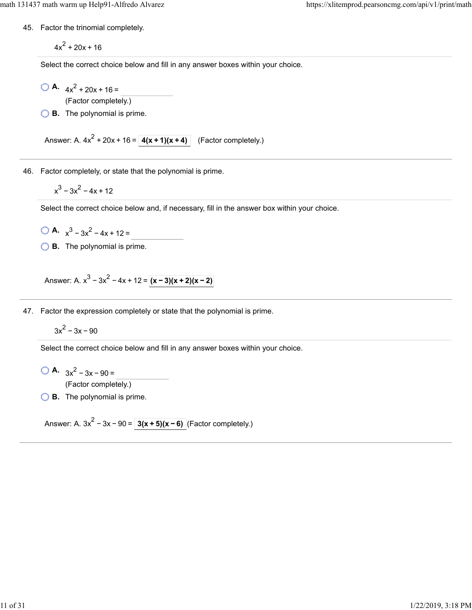45. Factor the trinomial completely.

 $4x^2 + 20x + 16$ 

Select the correct choice below and fill in any answer boxes within your choice.

 $\bigcirc$  **A.**  $4x^2 + 20x + 16 =$ (Factor completely.)

**B.** The polynomial is prime.

Answer: A.  $4x^2 + 20x + 16 = 4(x + 1)(x + 4)$  (Factor completely.)

46. Factor completely, or state that the polynomial is prime.

 $x^3 - 3x^2 - 4x + 12$ 

Select the correct choice below and, if necessary, fill in the answer box within your choice.

 $\bigcirc$  **A.**  $x^3 - 3x^2 - 4x + 12 =$ 

**B.** The polynomial is prime.

Answer: A.  $x^3 - 3x^2 - 4x + 12 = |(x-3)(x+2)(x-2)|$ 

47. Factor the expression completely or state that the polynomial is prime.

 $3x^2 - 3x - 90$ 

Select the correct choice below and fill in any answer boxes within your choice.

**A.**  $3x^2 - 3x - 90 =$ (Factor completely.)

**B.** The polynomial is prime.

Answer: A. 3x<sup>2</sup> – 3x – 90 =  $\sqrt{3(x+5)(x-6)}$  (Factor completely.)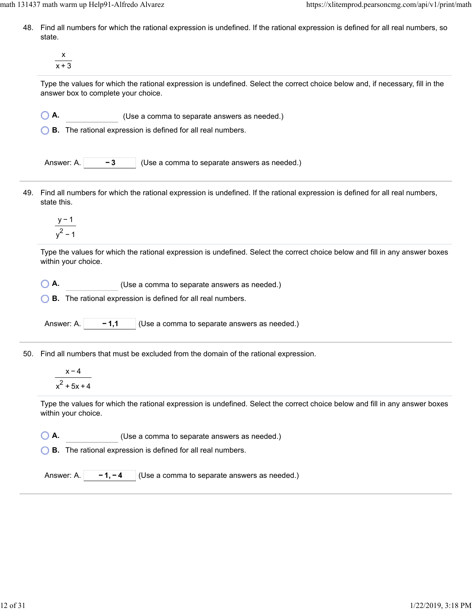- 48. Find all numbers for which the rational expression is undefined. If the rational expression is defined for all real numbers, so state.
	- x  $x + 3$

Type the values for which the rational expression is undefined. Select the correct choice below and, if necessary, fill in the answer box to complete your choice.

- **A.** (Use a comma to separate answers as needed.)
- **B.** The rational expression is defined for all real numbers.

| Answer: A. | $-3$ | $\vert$ (Use a comma to separate answers as needed.) |
|------------|------|------------------------------------------------------|
|------------|------|------------------------------------------------------|

49. Find all numbers for which the rational expression is undefined. If the rational expression is defined for all real numbers, state this.

$$
\frac{y-1}{y^2-1}
$$

Type the values for which the rational expression is undefined. Select the correct choice below and fill in any answer boxes within your choice.

**A.** (Use a comma to separate answers as needed.)

**B.** The rational expression is defined for all real numbers.

Answer: A.  $\vert -1,1 \vert$  (Use a comma to separate answers as needed.)

50. Find all numbers that must be excluded from the domain of the rational expression.

$$
\frac{x-4}{x^2+5x+4}
$$

Type the values for which the rational expression is undefined. Select the correct choice below and fill in any answer boxes within your choice.

**A.** (Use a comma to separate answers as needed.)

**B.** The rational expression is defined for all real numbers.

Answer: A.  $\begin{bmatrix} -1, -4 \\ \end{bmatrix}$  (Use a comma to separate answers as needed.)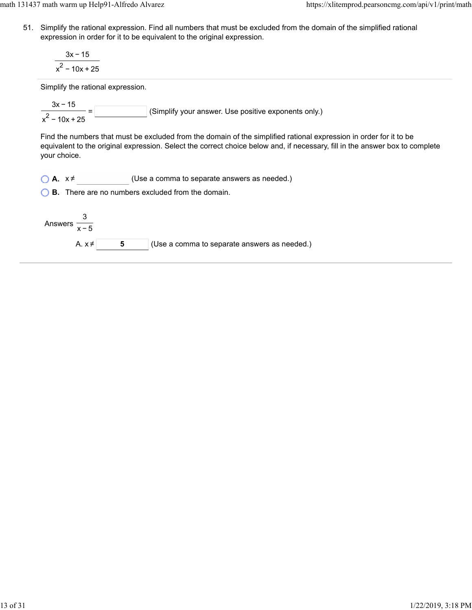math 131437 math warm up Help91-Alfredo Alvarez https://xlitemprod.pearsoncmg.com/api/v1/print/math

51. Simplify the rational expression. Find all numbers that must be excluded from the domain of the simplified rational expression in order for it to be equivalent to the original expression.

$$
\frac{3x-15}{x^2-10x+25}
$$

Simplify the rational expression.

(Simplify your answer. Use positive exponents only.) 3x − 15  $\frac{1}{x^2 - 10x + 25}$ 

Find the numbers that must be excluded from the domain of the simplified rational expression in order for it to be equivalent to the original expression. Select the correct choice below and, if necessary, fill in the answer box to complete your choice.

 $\bigcirc$  **A.**  $x \neq$  (Use a comma to separate answers as needed.)

**B.** There are no numbers excluded from the domain.

Answers 3 x−5

A.  $x \neq 5$  **5** (Use a comma to separate answers as needed.)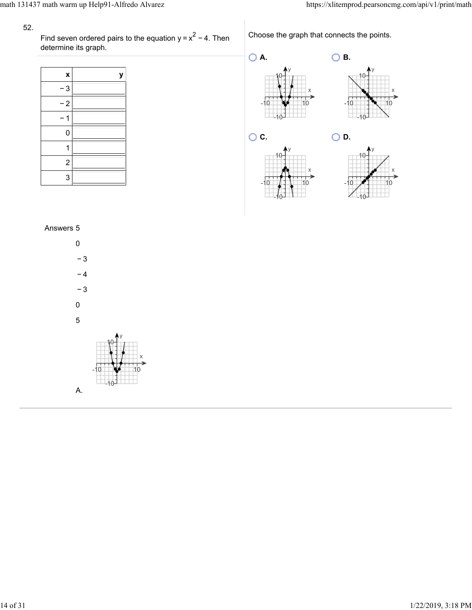Find seven ordered pairs to the equation  $y = x^2 - 4$ . Then determine its graph.  $y = x^2 - 4$ 

Choose the graph that connects the points.

| X              | у |
|----------------|---|
| 3              |   |
| $-2$           |   |
|                |   |
| 0              |   |
| 1              |   |
| $\overline{c}$ |   |
| 3              |   |



# Answers 5

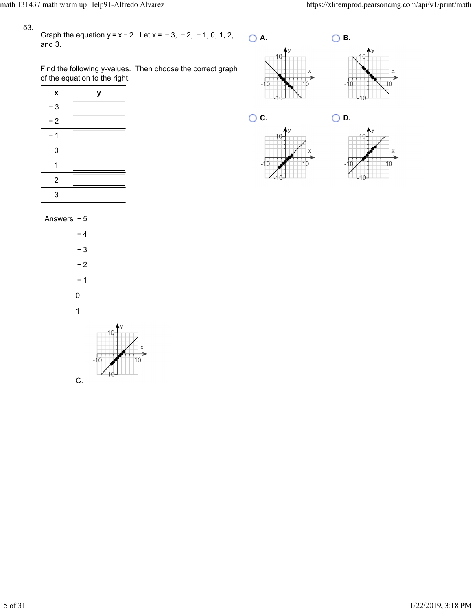Graph the equation  $y = x - 2$ . Let  $x = -3$ ,  $-2$ ,  $-1$ , 0, 1, 2, and 3.

Find the following y-values. Then choose the correct graph of the equation to the right.

| X              | у |
|----------------|---|
| $-3$           |   |
| $-2$           |   |
|                |   |
| 0              |   |
|                |   |
| $\overline{2}$ |   |
| 3              |   |











Answers − 5

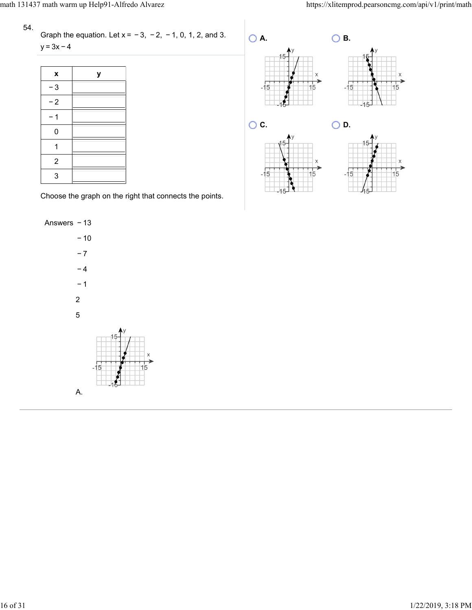Graph the equation. Let  $x = -3$ ,  $-2$ ,  $-1$ , 0, 1, 2, and 3.  $y = 3x - 4$ 

| X              | у |
|----------------|---|
| $-3$           |   |
| $-2$           |   |
|                |   |
| 0              |   |
|                |   |
| $\overline{2}$ |   |
| 3              |   |

Choose the graph on the right that connects the points.

Answers − 13



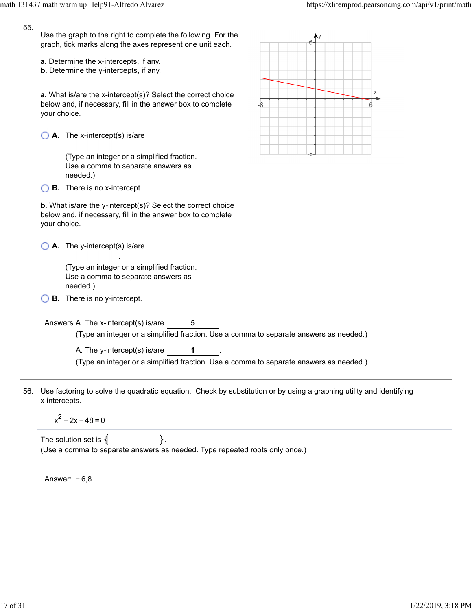| 55. | Use the graph to the right to complete the following. For the<br>graph, tick marks along the axes represent one unit each.<br>a. Determine the x-intercepts, if any.<br><b>b.</b> Determine the y-intercepts, if any.<br>a. What is/are the x-intercept(s)? Select the correct choice<br>below and, if necessary, fill in the answer box to complete<br>your choice. |                                                                                                                                     | Х<br>-6 |  |
|-----|----------------------------------------------------------------------------------------------------------------------------------------------------------------------------------------------------------------------------------------------------------------------------------------------------------------------------------------------------------------------|-------------------------------------------------------------------------------------------------------------------------------------|---------|--|
|     |                                                                                                                                                                                                                                                                                                                                                                      | A. The x-intercept(s) is/are<br>(Type an integer or a simplified fraction.<br>Use a comma to separate answers as                    |         |  |
|     |                                                                                                                                                                                                                                                                                                                                                                      | needed.)                                                                                                                            |         |  |
|     |                                                                                                                                                                                                                                                                                                                                                                      | <b>B.</b> There is no x-intercept.                                                                                                  |         |  |
|     | <b>b.</b> What is/are the y-intercept(s)? Select the correct choice<br>below and, if necessary, fill in the answer box to complete<br>your choice.                                                                                                                                                                                                                   |                                                                                                                                     |         |  |
|     |                                                                                                                                                                                                                                                                                                                                                                      | A. The y-intercept(s) is/are                                                                                                        |         |  |
|     |                                                                                                                                                                                                                                                                                                                                                                      | (Type an integer or a simplified fraction.<br>Use a comma to separate answers as<br>needed.)                                        |         |  |
|     |                                                                                                                                                                                                                                                                                                                                                                      | <b>B.</b> There is no y-intercept.                                                                                                  |         |  |
|     |                                                                                                                                                                                                                                                                                                                                                                      | Answers A. The x-intercept(s) is/are<br>5<br>(Type an integer or a simplified fraction. Use a comma to separate answers as needed.) |         |  |
|     | A. The y-intercept(s) is/are<br>(Type an integer or a simplified fraction. Use a comma to separate answers as needed.)                                                                                                                                                                                                                                               |                                                                                                                                     |         |  |
| 56. | x-intercepts.                                                                                                                                                                                                                                                                                                                                                        | Use factoring to solve the quadratic equation. Check by substitution or by using a graphing utility and identifying                 |         |  |
|     |                                                                                                                                                                                                                                                                                                                                                                      | $x^2 - 2x - 48 = 0$                                                                                                                 |         |  |

The solution set is  $\{\_\_\_\_\_\_\right\}.$ (Use a comma to separate answers as needed. Type repeated roots only once.)

Answer: − 6,8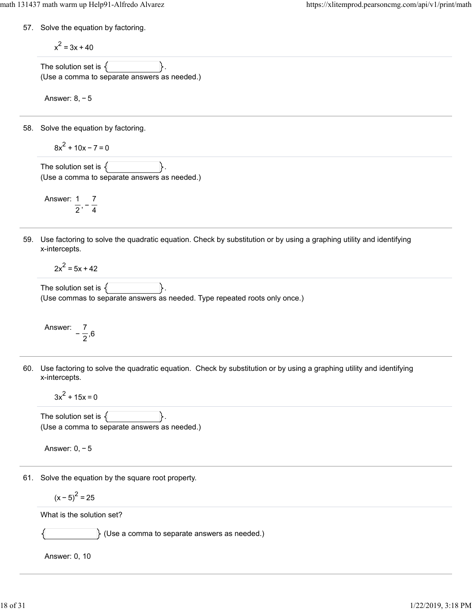57. Solve the equation by factoring.

$$
x^2 = 3x + 40
$$

The solution set is  $\{$ (Use a comma to separate answers as needed.)

Answer: 8, − 5

58. Solve the equation by factoring.

$$
8x^2 + 10x - 7 = 0
$$

The solution set is  $\{$ (Use a comma to separate answers as needed.)

Answer: 1  $\frac{1}{2}$ , – 7  $\overline{4}$ 

59. Use factoring to solve the quadratic equation. Check by substitution or by using a graphing utility and identifying x-intercepts.

 $2x^2 = 5x + 42$ 

The solution set is  $\{$ (Use commas to separate answers as needed. Type repeated roots only once.)

Answer: 
$$
-\frac{7}{2},6
$$

60. Use factoring to solve the quadratic equation. Check by substitution or by using a graphing utility and identifying x-intercepts.

 $3x^2 + 15x = 0$ 

The solution set is  $\{\vert$   $\vert$  . (Use a comma to separate answers as needed.)

Answer: 0, − 5

61. Solve the equation by the square root property.

$$
(x-5)^2 = 25
$$

What is the solution set?

 $\}$  (Use a comma to separate answers as needed.)

Answer: 0, 10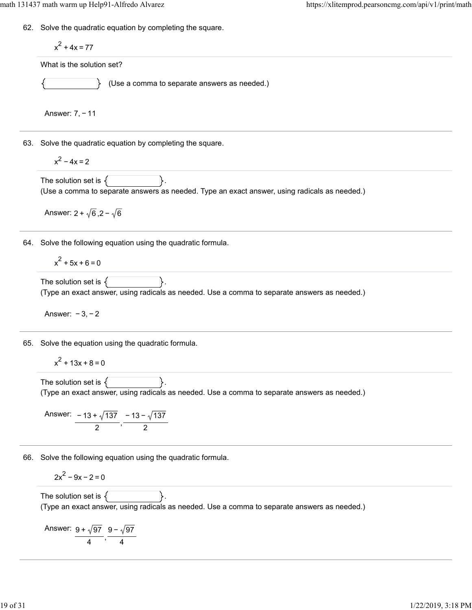62. Solve the quadratic equation by completing the square.

$$
x^2 + 4x = 77
$$
  
What is the solution set?

(Use a comma to separate answers as needed.)

Answer: 7, − 11

63. Solve the quadratic equation by completing the square.

$$
x^2-4x=2
$$

The solution set is  $\{$ (Use a comma to separate answers as needed. Type an exact answer, using radicals as needed.)

Answer:  $2 + \sqrt{6}$ ,  $2 - \sqrt{6}$ 

64. Solve the following equation using the quadratic formula.

 $x^2$  + 5x + 6 = 0

The solution set is  $\{$ (Type an exact answer, using radicals as needed. Use a comma to separate answers as needed.)

Answer: − 3, − 2

65. Solve the equation using the quadratic formula.

$$
x^2 + 13x + 8 = 0
$$

The solution set is  $\{\vert$   $\vert$  . (Type an exact answer, using radicals as needed. Use a comma to separate answers as needed.)

Answer:  $\frac{-13 + \sqrt{137}}{2}$ , − 13 − 137 2

66. Solve the following equation using the quadratic formula.

$$
2x^2 - 9x - 2 = 0
$$

The solution set is  $\{\vert$   $\vert$  . (Type an exact answer, using radicals as needed. Use a comma to separate answers as needed.)

Answer: 
$$
\frac{9 + \sqrt{97}}{4}, \frac{9 - \sqrt{97}}{4}
$$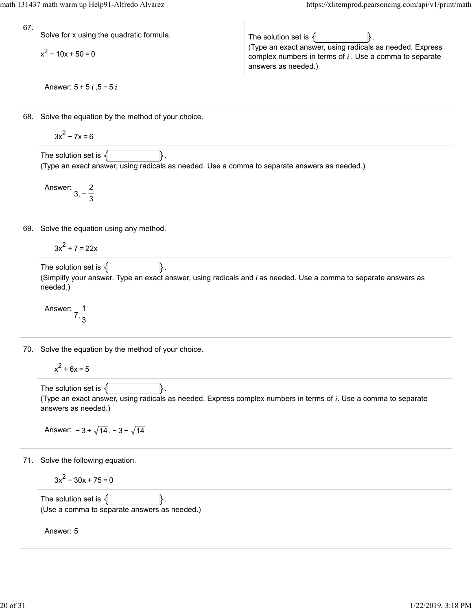math 131437 math warm up Help91-Alfredo Alvarez https://xlitemprod.pearsoncmg.com/api/v1/print/math

67.

Solve for x using the quadratic formula.

 $x^{2}$  – 10x + 50 = 0

The solution set is  $\{$ (Type an exact answer, using radicals as needed. Express complex numbers in terms of  $i$ . Use a comma to separate answers as needed.)

Answer:  $5 + 5i$ ,  $5 - 5i$ 

68. Solve the equation by the method of your choice.

$$
3x^2-7x=6
$$

The solution set is  $\{$ (Type an exact answer, using radicals as needed. Use a comma to separate answers as needed.)

Answer: 3, − 2 3

69. Solve the equation using any method.

$$
3x^2 + 7 = 22x
$$

The solution set is  $\{$ (Simplify your answer. Type an exact answer, using radicals and *i* as needed. Use a comma to separate answers as needed.)

Answer: 7, 1 3

70. Solve the equation by the method of your choice.

 $x^2$  + 6x = 5

The solution set is  $\{$ (Type an exact answer, using radicals as needed. Express complex numbers in terms of  $i$ . Use a comma to separate answers as needed.)

Answer:  $-3 + \sqrt{14}$ ,  $-3 - \sqrt{14}$ 

71. Solve the following equation.

$$
3x^2 - 30x + 75 = 0
$$

The solution set is  $\{$ (Use a comma to separate answers as needed.)

Answer: 5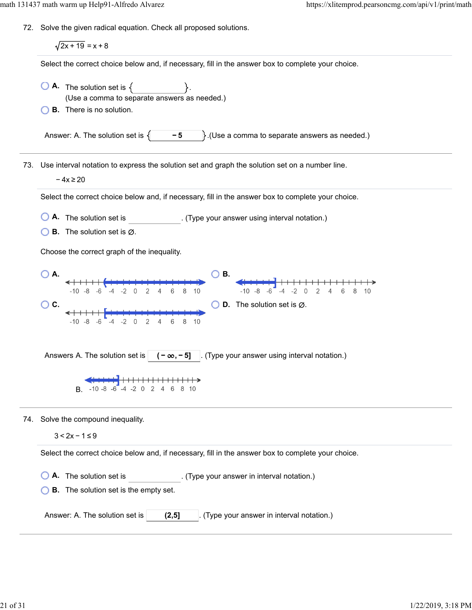72. Solve the given radical equation. Check all proposed solutions.

 $\sqrt{2x + 19} = x + 8$ Select the correct choice below and, if necessary, fill in the answer box to complete your choice.  $\overline{A}$ . The solution set is  $\{$ (Use a comma to separate answers as needed.) **B.** There is no solution. Answer: A. The solution set is  $\{\ \ -5\ \ \}$ . (Use a comma to separate answers as needed.) 73. Use interval notation to express the solution set and graph the solution set on a number line. − 4x ≥ 20 Select the correct choice below and, if necessary, fill in the answer box to complete your choice. **A.** The solution set is . (Type your answer using interval notation.) **B.** The solution set is  $\emptyset$ . Choose the correct graph of the inequality. **A. B. B.**  $-10 -8 -6 -4 -2 0 2 4 6 8 10$ 6 8 10  $\bigcirc$  C.  $\bigcirc$  **C.**  $\bigcirc$  **C.**  $\bigcirc$  **C.**  $\bigcirc$  **C.**  $\bigcirc$  **C.**  $\bigcirc$  **C.**  $\bigcirc$  **C.**  $\bigcirc$  **C.**  $\bigcirc$  **C.**  $\bigcirc$  **C.**  $\bigcirc$  **C.**  $\bigcirc$  **C.**  $\bigcirc$  **C.**  $\bigcirc$  **C.**  $\bigcirc$  **C.**  $\bigcirc$  **C.**  $\bigcirc$  **C.**  $\bigcirc$  **C.**  $\bigcirc$  **C.**  $\big$ Answers A. The solution set is  $\vert$   $\vert$   $\vert$   $\vert$   $\infty$ ,  $\vert$  5]  $\vert$  a. (Type your answer using interval notation.) **CHANGE HARASH CONTROL**<br>B. -10-8 -6 -4 -2 0 2 4 6 8 10 74. Solve the compound inequality. 3 < 2x − 1 ≤ 9 Select the correct choice below and, if necessary, fill in the answer box to complete your choice. **A.** The solution set is . (Type your answer in interval notation.) **B.** The solution set is the empty set. Answer: A. The solution set is **(2,5]** (Type your answer in interval notation.)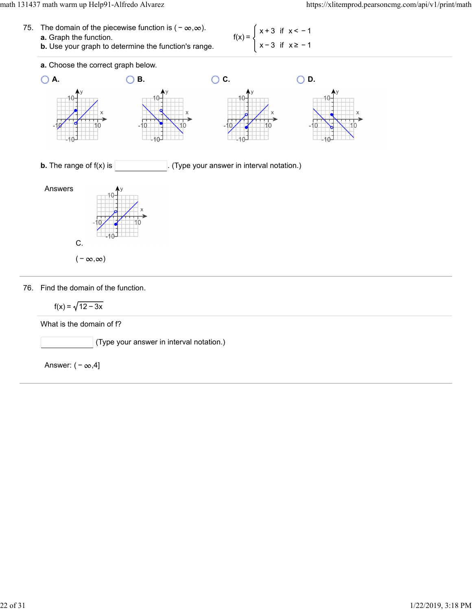

76. Find the domain of the function.

$$
f(x) = \sqrt{12 - 3x}
$$

What is the domain of f?

(Type your answer in interval notation.)

Answer:  $(-\infty, 4]$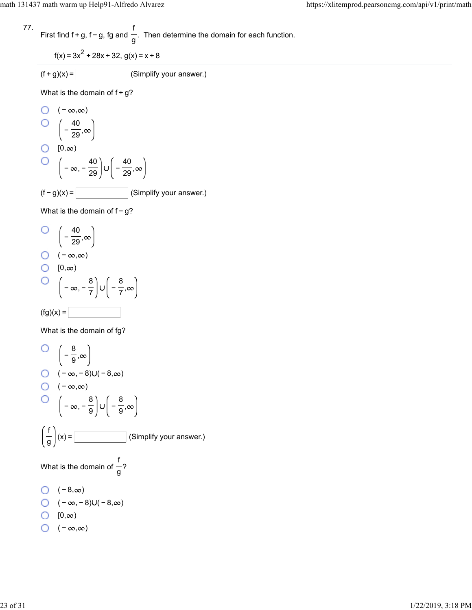77. First find f + g, f – g, fg and 
$$
\frac{f}{g}
$$
. Then determine the domain for each function.

$$
f(x) = 3x^2 + 28x + 32, g(x) = x + 8
$$

$$
(f+g)(x) = \boxed{\qquad \qquad} \text{(Simplify your answer.)}
$$

What is the domain of  $f+g$ ?

O 
$$
(-\infty, \infty)
$$
  
\nO  $\left(-\frac{40}{29}, \infty\right)$   
\nO [0,∞)  
\nO  $\left(-\infty, -\frac{40}{29}\right) \cup \left(-\frac{40}{29}, \infty\right)$   
\n(f-g)(x) = (Simplify your answer.)

What is the domain of f-g?

O 
$$
\left(-\frac{40}{29}, \infty\right)
$$
  
O  $\left(-\infty, \infty\right)$   
O  $\left(0, \infty\right)$   
O  $\left(-\infty, -\frac{8}{7}\right) \cup \left(-\frac{8}{7}, \infty\right)$   
(fg)(x) =

What is the domain of fg?

$$
Q = \begin{pmatrix} -\frac{8}{9}, \infty \\ -\frac{8}{9}, \infty \end{pmatrix}
$$
  
\nQ = (-∞, -8)U(-8, ∞)  
\nQ = (−∞, - $\frac{8}{9}$ )U $\begin{pmatrix} -\frac{8}{9}, \infty \\ -\frac{8}{9}, \infty \end{pmatrix}$   
\n
$$
\left(\frac{f}{g}\right)(x) = \boxed{\begin{pmatrix} -\frac{8}{9}, \infty \\ -\frac{8}{9}, \infty \end{pmatrix}}
$$
 (Simplify your answer.)  
\nWhat is the domain of  $\frac{f}{g}$ ?\n
$$
\left(-8, \infty\right)
$$
  
\nQ = (−8, ∞)  
\nQ = (−∞, −8)U(-8, ∞)  
\nQ = (0, ∞)  
\nQ = (−∞, ∞)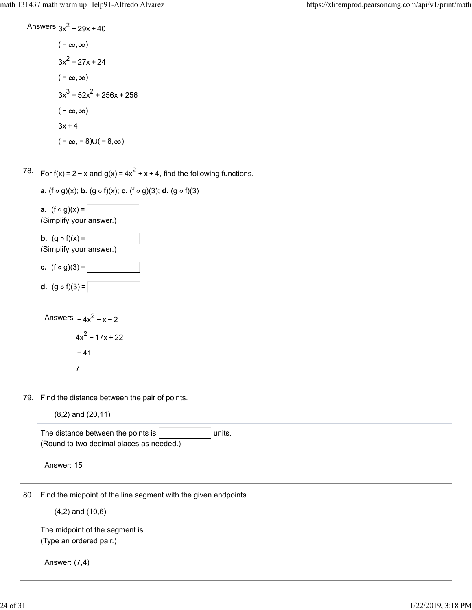Answers 
$$
3x^2 + 29x + 40
$$
  
\n $(-\infty, \infty)$   
\n $3x^2 + 27x + 24$   
\n $(-\infty, \infty)$   
\n $3x^3 + 52x^2 + 256x + 256$   
\n $(-\infty, \infty)$   
\n $3x + 4$   
\n $(-\infty, -8) \cup (-8, \infty)$ 

78. For f(x) = 2 – x and g(x) = 4x<sup>2</sup> + x + 4, find the following functions.



7

79. Find the distance between the pair of points.

| $(8,2)$ and $(20,11)$ |  |
|-----------------------|--|
|                       |  |

|                      | The distance between the points is<br>units.                    |  |  |
|----------------------|-----------------------------------------------------------------|--|--|
|                      | (Round to two decimal places as needed.)                        |  |  |
|                      | Answer: 15                                                      |  |  |
| 80.                  | Find the midpoint of the line segment with the given endpoints. |  |  |
| $(4,2)$ and $(10,6)$ |                                                                 |  |  |
|                      | The midpoint of the segment is $ $                              |  |  |
|                      | (Type an ordered pair.)                                         |  |  |
|                      | Answer: (7,4)                                                   |  |  |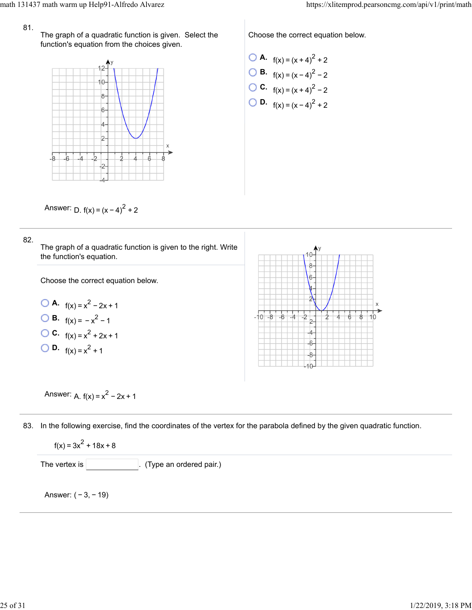The graph of a quadratic function is given. Select the function's equation from the choices given.



Choose the correct equation below.

\n- **O A.** 
$$
f(x) = (x + 4)^2 + 2
$$
\n- **O B.**  $f(x) = (x - 4)^2 - 2$
\n- **O C.**  $f(x) = (x + 4)^2 - 2$
\n- **O D.**  $f(x) = (x - 4)^2 + 2$
\n

Answer:  $D. f(x) = (x - 4)^{2} + 2$ 

#### 82.





Answer:  $A. f(x) = x^2 - 2x + 1$ 

83. In the following exercise, find the coordinates of the vertex for the parabola defined by the given quadratic function.

$$
f(x) = 3x^2 + 18x + 8
$$

The vertex is  $\vert$  (Type an ordered pair.)

Answer: ( − 3, − 19)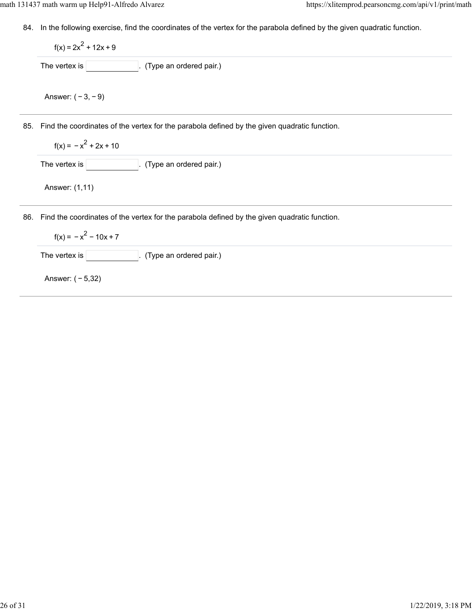84. In the following exercise, find the coordinates of the vertex for the parabola defined by the given quadratic function.

|     | $f(x) = 2x^2 + 12x + 9$                                                                      |  |  |
|-----|----------------------------------------------------------------------------------------------|--|--|
|     | The vertex is<br>(Type an ordered pair.)                                                     |  |  |
|     | Answer: $(-3, -9)$                                                                           |  |  |
| 85. | Find the coordinates of the vertex for the parabola defined by the given quadratic function. |  |  |
|     | $f(x) = -x^2 + 2x + 10$                                                                      |  |  |
|     | The vertex is<br>(Type an ordered pair.)                                                     |  |  |
|     | Answer: (1,11)                                                                               |  |  |
| 86. | Find the coordinates of the vertex for the parabola defined by the given quadratic function. |  |  |
|     | $f(x) = -x^2 - 10x + 7$                                                                      |  |  |
|     | The vertex is<br>(Type an ordered pair.)                                                     |  |  |
|     | Answer: $(-5,32)$                                                                            |  |  |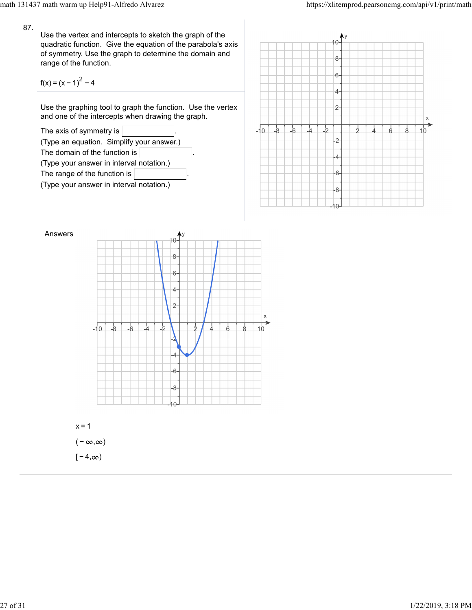Use the vertex and intercepts to sketch the graph of the quadratic function. Give the equation of the parabola's axis of symmetry. Use the graph to determine the domain and range of the function.

$$
f(x) = (x - 1)^{2} - 4
$$

Use the graphing tool to graph the function. Use the vertex and one of the intercepts when drawing the graph.







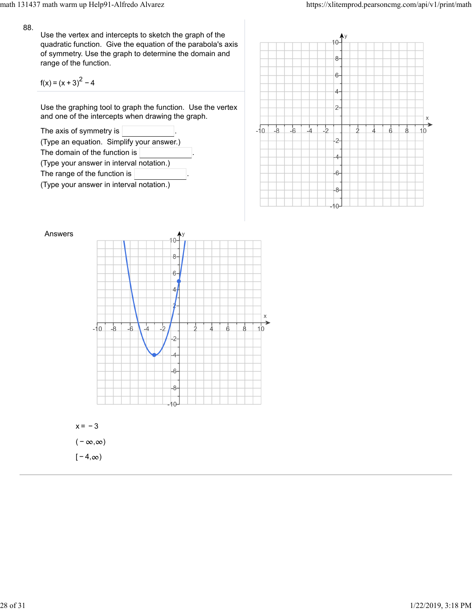Use the vertex and intercepts to sketch the graph of the quadratic function. Give the equation of the parabola's axis of symmetry. Use the graph to determine the domain and range of the function.

$$
f(x) = (x + 3)^{2} - 4
$$

Use the graphing tool to graph the function. Use the vertex and one of the intercepts when drawing the graph.







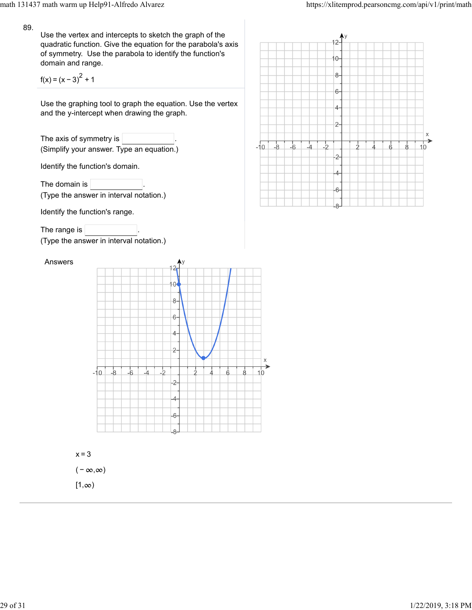Use the vertex and intercepts to sketch the graph of the quadratic function. Give the equation for the parabola's axis of symmetry. Use the parabola to identify the function's domain and range.

 $f(x) = (x - 3)^{2} + 1$ 

Use the graphing tool to graph the equation. Use the vertex and the y-intercept when drawing the graph.

| The axis of symmetry is $ $               |  |
|-------------------------------------------|--|
| (Simplify your answer. Type an equation.) |  |

Identify the function's domain.

The domain is (Type the answer in interval notation.)

Identify the function's range.

The range is  $|$ 

(Type the answer in interval notation.)

Answers



 $x=3$ 

 $(-\infty, \infty)$ 

 $[1, \infty)$ 

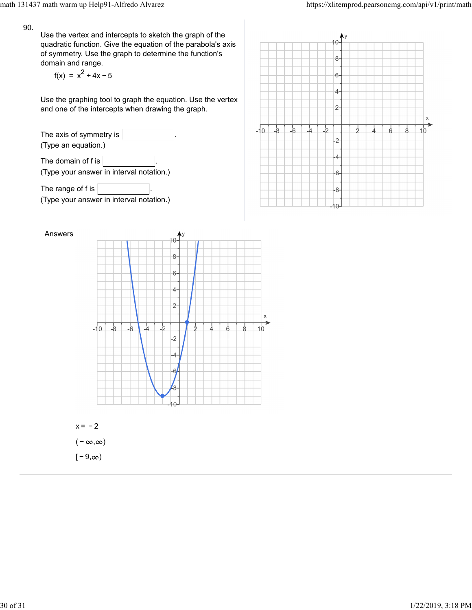Use the vertex and intercepts to sketch the graph of the quadratic function. Give the equation of the parabola's axis of symmetry. Use the graph to determine the function's domain and range.

 $f(x) = x^2 + 4x - 5$ 

Use the graphing tool to graph the equation. Use the vertex and one of the intercepts when drawing the graph.

The axis of symmetry is (Type an equation.) The domain of f is  $\sqrt{ }$ (Type your answer in interval notation.)

The range of f is  $\sqrt{ }$ (Type your answer in interval notation.)





 $(-\infty, \infty)$  $[-9, \infty)$